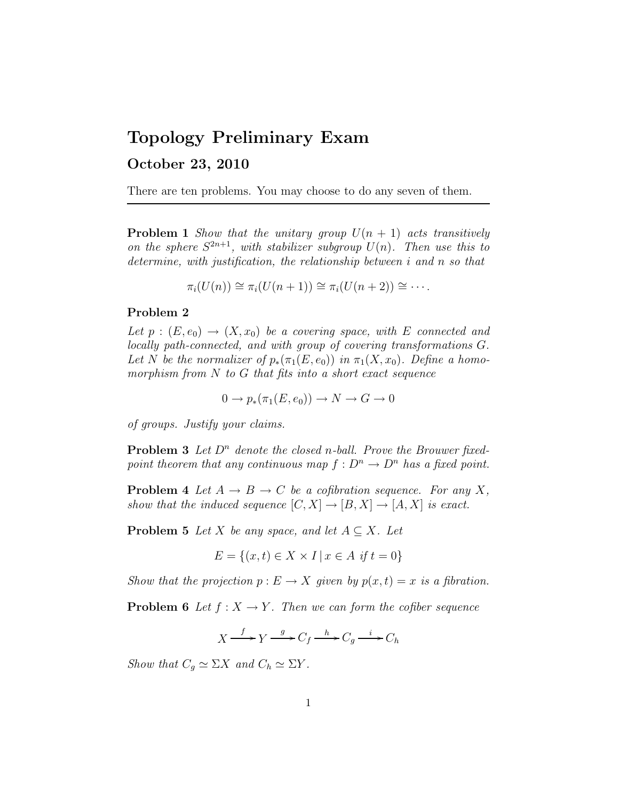## Topology Preliminary Exam

## October 23, 2010

There are ten problems. You may choose to do any seven of them.

**Problem 1** Show that the unitary group  $U(n + 1)$  acts transitively on the sphere  $S^{2n+1}$ , with stabilizer subgroup  $U(n)$ . Then use this to determine, with justification, the relationship between i and n so that

$$
\pi_i(U(n)) \cong \pi_i(U(n+1)) \cong \pi_i(U(n+2)) \cong \cdots.
$$

## Problem 2

Let  $p:(E, e_0) \to (X, x_0)$  be a covering space, with E connected and locally path-connected, and with group of covering transformations G. Let N be the normalizer of  $p_*(\pi_1(E, e_0))$  in  $\pi_1(X, x_0)$ . Define a homomorphism from  $N$  to  $G$  that fits into a short exact sequence

$$
0 \to p_*(\pi_1(E, e_0)) \to N \to G \to 0
$$

of groups. Justify your claims.

**Problem 3** Let  $D^n$  denote the closed n-ball. Prove the Brouwer fixedpoint theorem that any continuous map  $f: D^n \to D^n$  has a fixed point.

**Problem 4** Let  $A \rightarrow B \rightarrow C$  be a cofibration sequence. For any X, show that the induced sequence  $[C, X] \to [B, X] \to [A, X]$  is exact.

**Problem 5** Let X be any space, and let  $A \subseteq X$ . Let

$$
E = \{(x, t) \in X \times I \mid x \in A \text{ if } t = 0\}
$$

Show that the projection  $p: E \to X$  given by  $p(x, t) = x$  is a fibration.

**Problem 6** Let  $f : X \to Y$ . Then we can form the cofiber sequence

$$
X \xrightarrow{f} Y \xrightarrow{g} C_f \xrightarrow{h} C_g \xrightarrow{i} C_h
$$

Show that  $C_q \simeq \Sigma X$  and  $C_h \simeq \Sigma Y$ .